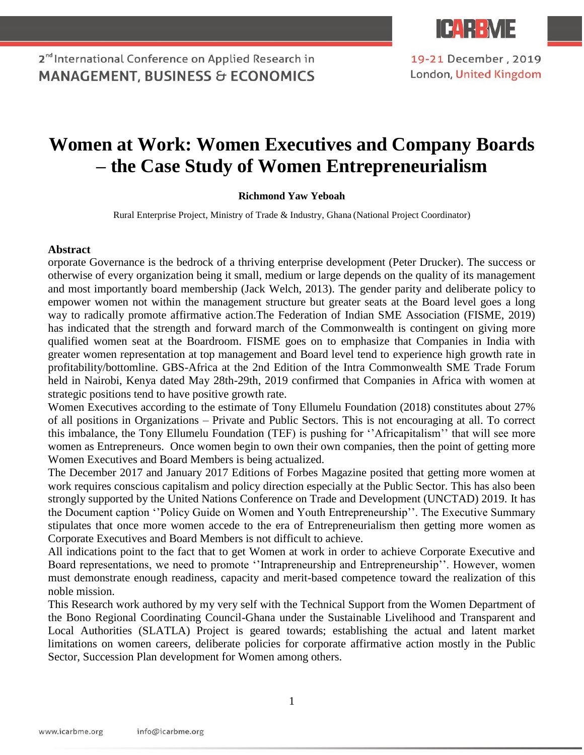

2<sup>nd</sup> International Conference on Applied Research in **MANAGEMENT, BUSINESS & ECONOMICS** 

19-21 December, 2019 London, United Kingdom

## **Women at Work: Women Executives and Company Boards – the Case Study of Women Entrepreneurialism**

## **Richmond Yaw Yeboah**

Rural Enterprise Project, Ministry of Trade & Industry, Ghana (National Project Coordinator)

## **Abstract**

orporate Governance is the bedrock of a thriving enterprise development (Peter Drucker). The success or otherwise of every organization being it small, medium or large depends on the quality of its management and most importantly board membership (Jack Welch, 2013). The gender parity and deliberate policy to empower women not within the management structure but greater seats at the Board level goes a long way to radically promote affirmative action.The Federation of Indian SME Association (FISME, 2019) has indicated that the strength and forward march of the Commonwealth is contingent on giving more qualified women seat at the Boardroom. FISME goes on to emphasize that Companies in India with greater women representation at top management and Board level tend to experience high growth rate in profitability/bottomline. GBS-Africa at the 2nd Edition of the Intra Commonwealth SME Trade Forum held in Nairobi, Kenya dated May 28th-29th, 2019 confirmed that Companies in Africa with women at strategic positions tend to have positive growth rate.

Women Executives according to the estimate of Tony Ellumelu Foundation (2018) constitutes about 27% of all positions in Organizations – Private and Public Sectors. This is not encouraging at all. To correct this imbalance, the Tony Ellumelu Foundation (TEF) is pushing for ''Africapitalism'' that will see more women as Entrepreneurs. Once women begin to own their own companies, then the point of getting more Women Executives and Board Members is being actualized.

The December 2017 and January 2017 Editions of Forbes Magazine posited that getting more women at work requires conscious capitalism and policy direction especially at the Public Sector. This has also been strongly supported by the United Nations Conference on Trade and Development (UNCTAD) 2019. It has the Document caption ''Policy Guide on Women and Youth Entrepreneurship''. The Executive Summary stipulates that once more women accede to the era of Entrepreneurialism then getting more women as Corporate Executives and Board Members is not difficult to achieve.

All indications point to the fact that to get Women at work in order to achieve Corporate Executive and Board representations, we need to promote ''Intrapreneurship and Entrepreneurship''. However, women must demonstrate enough readiness, capacity and merit-based competence toward the realization of this noble mission.

This Research work authored by my very self with the Technical Support from the Women Department of the Bono Regional Coordinating Council-Ghana under the Sustainable Livelihood and Transparent and Local Authorities (SLATLA) Project is geared towards; establishing the actual and latent market limitations on women careers, deliberate policies for corporate affirmative action mostly in the Public Sector, Succession Plan development for Women among others.

1